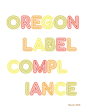

March 2018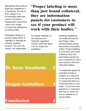Navigating the world of legal pot compliance is a headache. On top of that, design is an increasingly important factor in business. Researchers found that colors and visuals increase the willingness to read by 80%.

Packaging design is a perfect opportunity to highlight or elevate an already amazing product. Yet you, the owner, are responsible

### "Proper labeling is more than just brand collateral, they are information panels for customers to see if your product will work with their bodies."

2

3

4

for proper labeling. In the absence of a federally regulated market, state law takes over to create the guidelines.

De Facto Standards

# Oregon Guidelines

## **Conclusion**

Labeling regulations are really striving for two things: clear communication about the product and public safety. Proper labeling is more than just brand collateral, they are information panels for your customers to see if your product will work with their bodies

I created this guide for cannabis brands in Oregon as a resource. If you are out of state, it is important that you review the laws in your state. If you have any questions or comments, feel free to reach out via my website or on social media.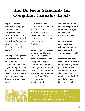# The De Facto Standards for Compliant Cannabis Labels

Top rules for any cannabis packaging: containers must be opaque and any designs, branding, or artwork cannot appeal to children. Once those bases are covered, then we move on to content.

For all packaging there is a principal display panel and an information panel. Most regulatory figures have strict rules about what needs to appear on the principal panel. Aside from your brand name, product

identification, and contact info, you should include specific information that will assist your customer to understand and properly use your product, in English.

Some of that information includes the THC and CBD content of the product, recommended dosage and usage, quantity, and specific warnings. To make labels clear including warnings like "Keep out of reach of children" and "This product has an intoxicating effect".

If you're labeling an edible it's important to include any allergen warnings and experiation dates.

On the information panel most guidelines ask that ingredients be organized by their weight, heavy to light.

Of course, the above aren't blanket rules for everyone but general guidelines for label content. To be certain, check with your regulatory authority for more information on labeling products.



#### But what about our inner child?

"Appealing to children" can be a fine line with some brands. To be safe, avoid cartoon animals, caricatures, or photography of kids. Do go crazy with color.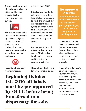Oregon has it's own set of labeling guidelines to abide by. The most important is the marijuana universal symbol.



The symbol needs to be at least .48 inches wide by .35 inches high to remain compliant. If your product is medicinal, you also need the below symbol somewhere on your packaging.



Forgetting these icons means immediate

rejection from OLCC.

It is also wise to add the activation time, or how long it takes for someone to "feel" the product. You can represent this as a symbol or stated in plain text. Oregon guidelines require this but it's also seen as an informative kindness for any new users.

Another point for public safety, adding lab test results. This includes batch testing numbers and the dates the product was tested.

This probably feels like a ton of information to get

Beginning October 1st, 2016 all labels must be pre-approved by OLCC before being transferred to a dispensary for sale.

#### No Approval Needed!

If your label follows guidelines but is free of any graphics, photography, logos, or additional info anywhere on the package

on one panel. Luckily, the OLCC recognized this and has allowed the use of accordian labels, additional pamphlets, or an outer container on small products.

If using the latter, don't be afraid to repeat yourself. Even if you stated the required information on the inner container, OLCC still requires that information to be placed on the outside container as well.